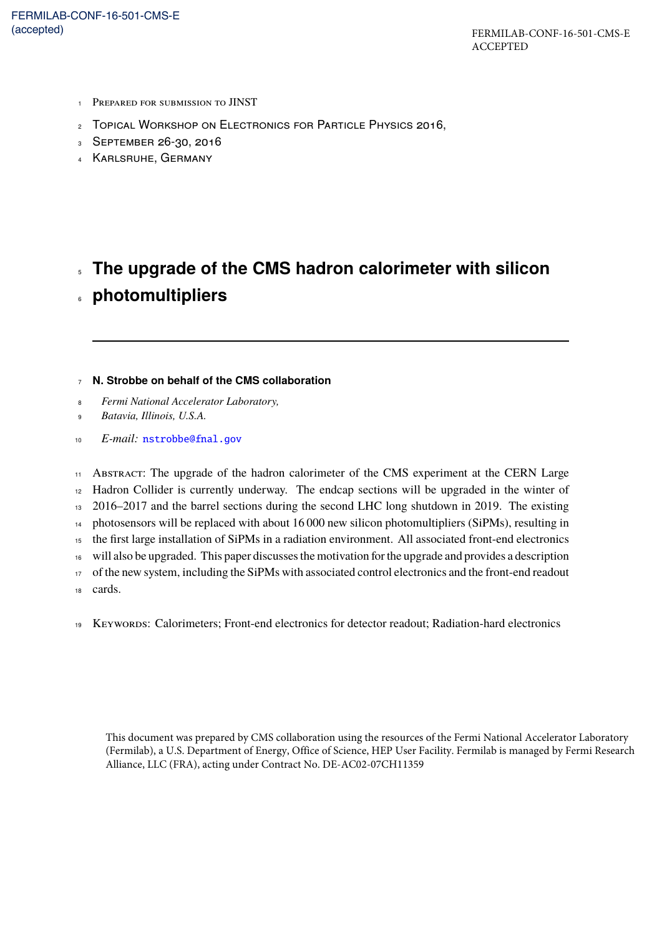- PREPARED FOR SUBMISSION TO JINST
- TOPICAL WORKSHOP ON ELECTRONICS FOR PARTICLE PHYSICS 2016,
- SEPTEMBER 26-30, 2016
- KARLSRUHE, GERMANY

# <sup>5</sup> **The upgrade of the CMS hadron calorimeter with silicon**

<sup>6</sup> **photomultipliers**

#### <sup>7</sup> **N. Strobbe on behalf of the CMS collaboration**

- <sup>8</sup> *Fermi National Accelerator Laboratory,*
- <sup>9</sup> *Batavia, Illinois, U.S.A.*
- <sup>10</sup> *E-mail:* [nstrobbe@fnal.gov](mailto:nstrobbe@fnal.gov)

11 ABSTRACT: The upgrade of the hadron calorimeter of the CMS experiment at the CERN Large Hadron Collider is currently underway. The endcap sections will be upgraded in the winter of 2016–2017 and the barrel sections during the second LHC long shutdown in 2019. The existing photosensors will be replaced with about 16 000 new silicon photomultipliers (SiPMs), resulting in the first large installation of SiPMs in a radiation environment. All associated front-end electronics will also be upgraded. This paper discusses the motivation for the upgrade and provides a description of the new system, including the SiPMs with associated control electronics and the front-end readout <sup>18</sup> cards.

<sup>19</sup> KEYWORDS: Calorimeters; Front-end electronics for detector readout; Radiation-hard electronics

This document was prepared by CMS collaboration using the resources of the Fermi National Accelerator Laboratory (Fermilab), a U.S. Department of Energy, Office of Science, HEP User Facility. Fermilab is managed by Fermi Research Alliance, LLC (FRA), acting under Contract No. DE-AC02-07CH11359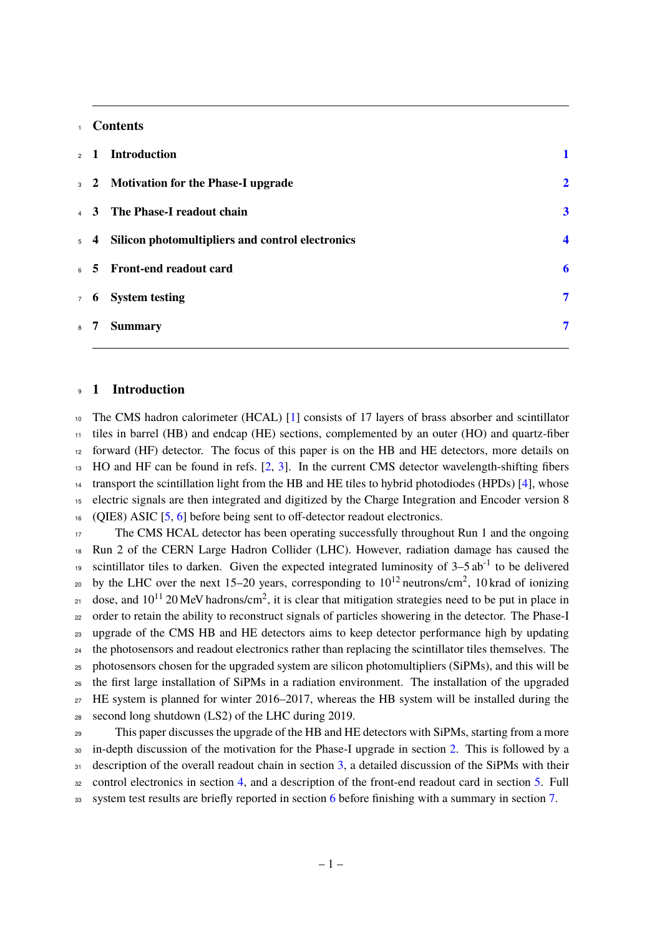#### **Contents**

|                | 2 1 Introduction                                     |                  |
|----------------|------------------------------------------------------|------------------|
|                | 3 2 Motivation for the Phase-I upgrade               | $\mathbf{2}$     |
|                | 4 3 The Phase-I readout chain                        | $\mathbf{3}$     |
|                | 5 4 Silicon photomultipliers and control electronics | $\boldsymbol{4}$ |
|                | 6 5 Front-end readout card                           | 6                |
|                | 7 6 System testing                                   | 7                |
| 8 <sup>7</sup> | <b>Summary</b>                                       | 7                |

#### <span id="page-1-0"></span>**1 Introduction**

 The CMS hadron calorimeter (HCAL) [\[1\]](#page-8-0) consists of 17 layers of brass absorber and scintillator tiles in barrel (HB) and endcap (HE) sections, complemented by an outer (HO) and quartz-fiber forward (HF) detector. The focus of this paper is on the HB and HE detectors, more details on HO and HF can be found in refs. [\[2,](#page-8-1) [3\]](#page-8-2). In the current CMS detector wavelength-shifting fibers transport the scintillation light from the HB and HE tiles to hybrid photodiodes (HPDs) [\[4\]](#page-8-3), whose electric signals are then integrated and digitized by the Charge Integration and Encoder version 8 (QIE8) ASIC [\[5,](#page-8-4) [6\]](#page-8-5) before being sent to off-detector readout electronics.

 The CMS HCAL detector has been operating successfully throughout Run 1 and the ongoing Run 2 of the CERN Large Hadron Collider (LHC). However, radiation damage has caused the scintillator tiles to darken. Given the expected integrated luminosity of  $3-5$  ab<sup>-1</sup> to be delivered by the LHC over the next 15–20 years, corresponding to  $10^{12}$  neutrons/cm<sup>2</sup>, 10 krad of ionizing  $_{21}$  dose, and 10<sup>11</sup> 20 MeV hadrons/cm<sup>2</sup>, it is clear that mitigation strategies need to be put in place in <sub>22</sub> order to retain the ability to reconstruct signals of particles showering in the detector. The Phase-I upgrade of the CMS HB and HE detectors aims to keep detector performance high by updating the photosensors and readout electronics rather than replacing the scintillator tiles themselves. The photosensors chosen for the upgraded system are silicon photomultipliers (SiPMs), and this will be the first large installation of SiPMs in a radiation environment. The installation of the upgraded HE system is planned for winter 2016–2017, whereas the HB system will be installed during the second long shutdown (LS2) of the LHC during 2019.

 This paper discusses the upgrade of the HB and HE detectors with SiPMs, starting from a more <sup>30</sup> in-depth discussion of the motivation for the Phase-I upgrade in section [2.](#page-2-0) This is followed by a description of the overall readout chain in section [3,](#page-3-0) a detailed discussion of the SiPMs with their control electronics in section [4,](#page-4-0) and a description of the front-end readout card in section [5.](#page-6-0) Full system test results are briefly reported in section [6](#page-7-0) before finishing with a summary in section [7.](#page-7-1)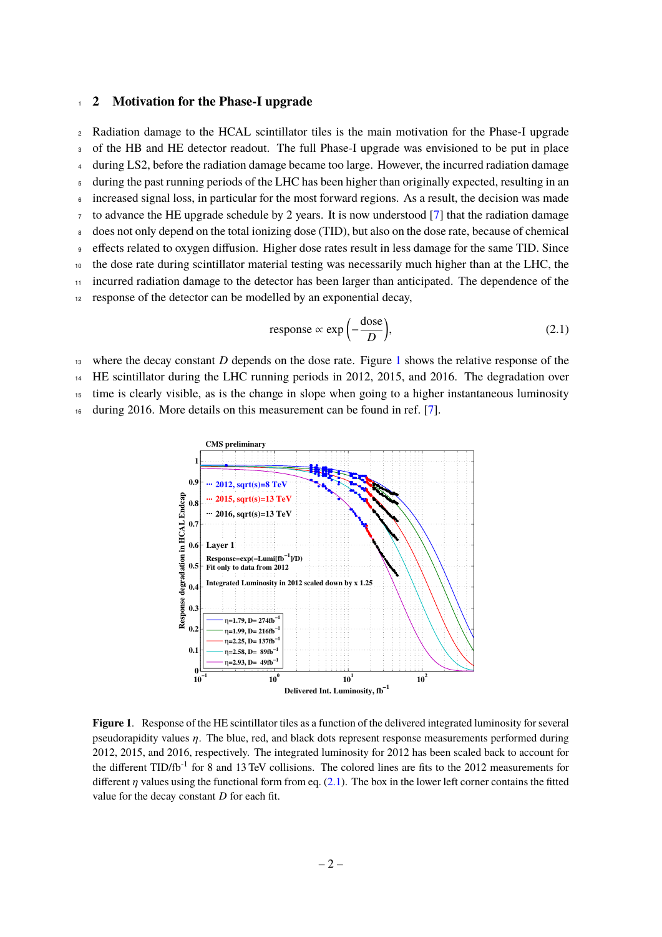#### <span id="page-2-0"></span><sup>1</sup> **2 Motivation for the Phase-I upgrade**

<sup>2</sup> Radiation damage to the HCAL scintillator tiles is the main motivation for the Phase-I upgrade <sup>3</sup> of the HB and HE detector readout. The full Phase-I upgrade was envisioned to be put in place <sup>4</sup> during LS2, before the radiation damage became too large. However, the incurred radiation damage <sup>5</sup> during the past running periods of the LHC has been higher than originally expected, resulting in an increased signal loss, in particular for the most forward regions. As a result, the decision was made to advance the HE upgrade schedule by 2 years. It is now understood [\[7\]](#page-8-6) that the radiation damage <sup>8</sup> does not only depend on the total ionizing dose (TID), but also on the dose rate, because of chemical effects related to oxygen diffusion. Higher dose rates result in less damage for the same TID. Since <sup>10</sup> the dose rate during scintillator material testing was necessarily much higher than at the LHC, the <sup>11</sup> incurred radiation damage to the detector has been larger than anticipated. The dependence of the <sup>12</sup> response of the detector can be modelled by an exponential decay, response  $\propto \exp\left(-\frac{\text{dose}}{D}\right)$ ◆  $(2.1)$ 

<span id="page-2-2"></span>

<sup>13</sup> where the decay constant *D* depends on the dose rate. Figure [1](#page-2-1) shows the relative response of the

<sup>14</sup> HE scintillator during the LHC running periods in 2012, 2015, and 2016. The degradation over

<sup>15</sup> time is clearly visible, as is the change in slope when going to a higher instantaneous luminosity

<sup>16</sup> during 2016. More details on this measurement can be found in ref. [\[7\]](#page-8-6).



<span id="page-2-1"></span>**Figure 1**. Response of the HE scintillator tiles as a function of the delivered integrated luminosity for several pseudorapidity values  $\eta$ . The blue, red, and black dots represent response measurements performed during 2012, 2015, and 2016, respectively. The integrated luminosity for 2012 has been scaled back to account for the different  $TID/fb^{-1}$  for 8 and 13 TeV collisions. The colored lines are fits to the 2012 measurements for different  $\eta$  values using the functional form from eq. [\(2.1\)](#page-2-2). The box in the lower left corner contains the fitted value for the decay constant *D* for each fit.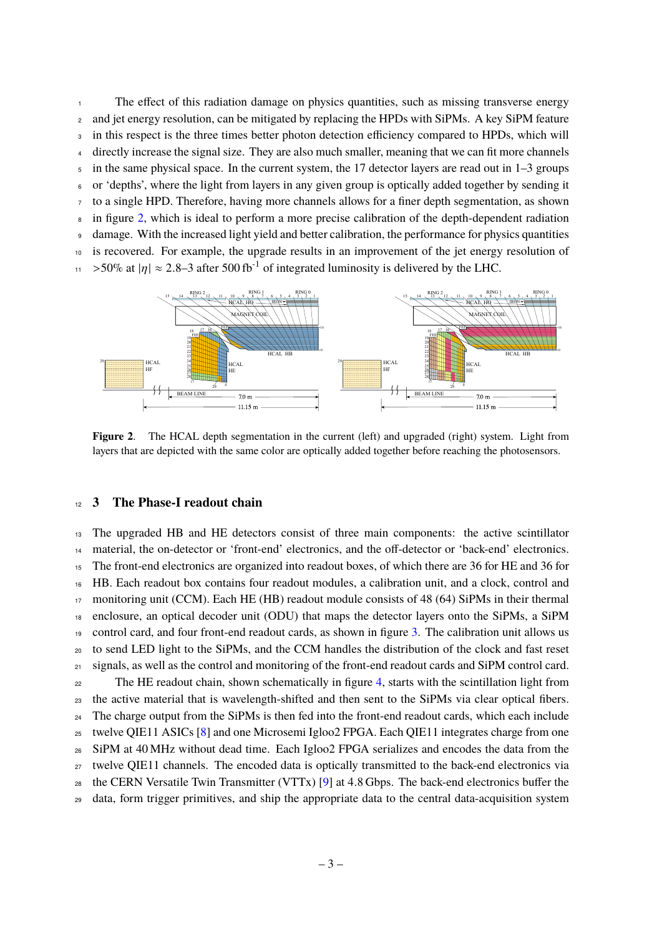The effect of this radiation damage on physics quantities, such as missing transverse energy <sup>2</sup> and jet energy resolution, can be mitigated by replacing the HPDs with SiPMs. A key SiPM feature in this respect is the three times better photon detection efficiency compared to HPDs, which will directly increase the signal size. They are also much smaller, meaning that we can fit more channels  $\overline{5}$  in the same physical space. In the current system, the 17 detector layers are read out in 1–3 groups or 'depths', where the light from layers in any given group is optically added together by sending it to a single HPD. Therefore, having more channels allows for a finer depth segmentation, as shown in figure [2,](#page-3-1) which is ideal to perform a more precise calibration of the depth-dependent radiation damage. With the increased light yield and better calibration, the performance for physics quantities is recovered. For example, the upgrade results in an improvement of the jet energy resolution of  $\frac{1}{11}$  > 50% at  $|\eta| \approx 2.8-3$  after 500 fb<sup>-1</sup> of integrated luminosity is delivered by the LHC.



<span id="page-3-1"></span>**Figure 2.** The HCAL depth segmentation in the current (left) and upgraded (right) system. Light from layers that are depicted with the same color are optically added together before reaching the photosensors.

#### <span id="page-3-0"></span>**3 The Phase-I readout chain**

 The upgraded HB and HE detectors consist of three main components: the active scintillator <sup>14</sup> material, the on-detector or 'front-end' electronics, and the off-detector or 'back-end' electronics. The front-end electronics are organized into readout boxes, of which there are 36 for HE and 36 for HB. Each readout box contains four readout modules, a calibration unit, and a clock, control and monitoring unit (CCM). Each HE (HB) readout module consists of 48 (64) SiPMs in their thermal enclosure, an optical decoder unit (ODU) that maps the detector layers onto the SiPMs, a SiPM control card, and four front-end readout cards, as shown in figure [3.](#page-4-1) The calibration unit allows us to send LED light to the SiPMs, and the CCM handles the distribution of the clock and fast reset 21 signals, as well as the control and monitoring of the front-end readout cards and SiPM control card. The HE readout chain, shown schematically in figure [4,](#page-4-2) starts with the scintillation light from the active material that is wavelength-shifted and then sent to the SiPMs via clear optical fibers. <sup>24</sup> The charge output from the SiPMs is then fed into the front-end readout cards, which each include <sup>25</sup> twelve QIE11 ASICs [\[8\]](#page-8-7) and one Microsemi Igloo2 FPGA. Each QIE11 integrates charge from one SiPM at 40 MHz without dead time. Each Igloo2 FPGA serializes and encodes the data from the <sub>27</sub> twelve OIE11 channels. The encoded data is optically transmitted to the back-end electronics via the CERN Versatile Twin Transmitter (VTTx) [\[9\]](#page-8-8) at 4.8 Gbps. The back-end electronics buffer the data, form trigger primitives, and ship the appropriate data to the central data-acquisition system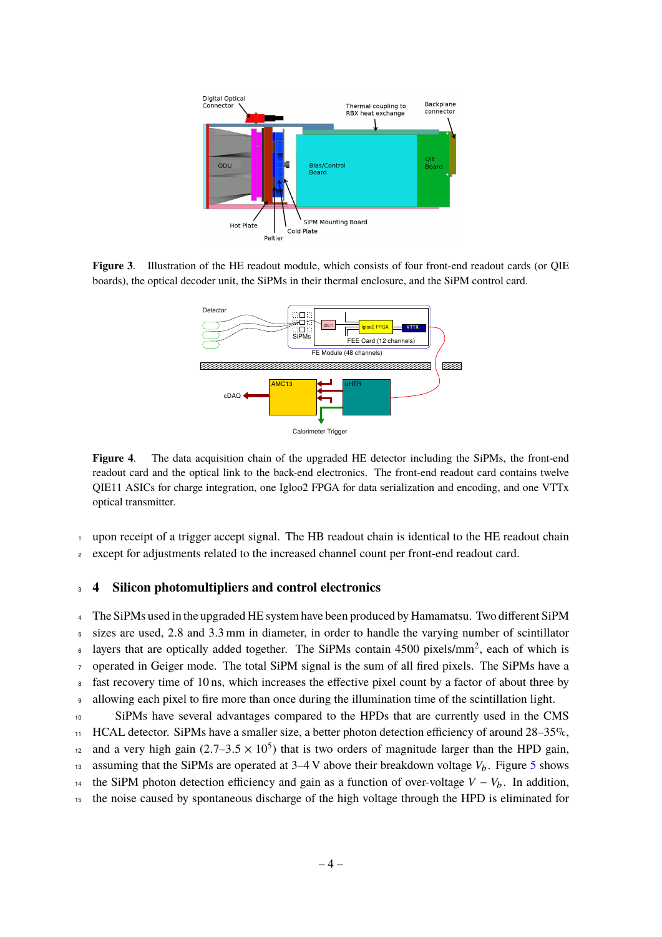

<span id="page-4-1"></span>**Figure 3**. Illustration of the HE readout module, which consists of four front-end readout cards (or QIE boards), the optical decoder unit, the SiPMs in their thermal enclosure, and the SiPM control card.



<span id="page-4-2"></span>**Figure 4**. The data acquisition chain of the upgraded HE detector including the SiPMs, the front-end readout card and the optical link to the back-end electronics. The front-end readout card contains twelve QIE11 ASICs for charge integration, one Igloo2 FPGA for data serialization and encoding, and one VTTx optical transmitter.

<sup>1</sup> upon receipt of a trigger accept signal. The HB readout chain is identical to the HE readout chain

<sup>2</sup> except for adjustments related to the increased channel count per front-end readout card.

#### <span id="page-4-0"></span><sup>3</sup> **4 Silicon photomultipliers and control electronics**

<sup>4</sup> The SiPMs used in the upgraded HE system have been produced by Hamamatsu. Two different SiPM sizes are used, 2.8 and 3.3 mm in diameter, in order to handle the varying number of scintillator  $\epsilon$  layers that are optically added together. The SiPMs contain 4500 pixels/mm<sup>2</sup>, each of which is <sup>7</sup> operated in Geiger mode. The total SiPM signal is the sum of all fired pixels. The SiPMs have a fast recovery time of 10 ns, which increases the effective pixel count by a factor of about three by <sup>9</sup> allowing each pixel to fire more than once during the illumination time of the scintillation light. <sup>10</sup> SiPMs have several advantages compared to the HPDs that are currently used in the CMS  $11$  HCAL detector. SiPMs have a smaller size, a better photon detection efficiency of around  $28-35\%$ , and a very high gain  $(2.7-3.5 \times 10^5)$  that is two orders of magnitude larger than the HPD gain, 13 assuming that the SiPMs are operated at  $3-4$  V above their breakdown voltage  $V_b$ . Figure [5](#page-5-0) shows 14 the SiPM photon detection efficiency and gain as a function of over-voltage  $V - V_b$ . In addition,

<sup>15</sup> the noise caused by spontaneous discharge of the high voltage through the HPD is eliminated for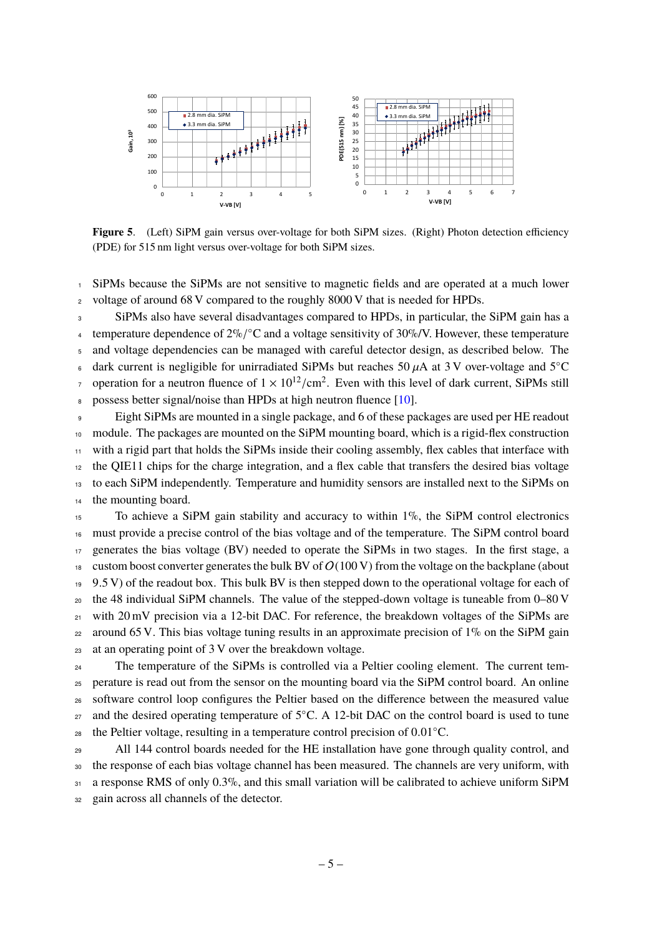

<span id="page-5-0"></span>Figure 5. (Left) SiPM gain versus over-voltage for both SiPM sizes. (Right) Photon detection efficiency (PDE) for 515 nm light versus over-voltage for both SiPM sizes.

 SiPMs because the SiPMs are not sensitive to magnetic fields and are operated at a much lower 2 voltage of around 68 V compared to the roughly 8000 V that is needed for HPDs.

 SiPMs also have several disadvantages compared to HPDs, in particular, the SiPM gain has a 4 temperature dependence of  $2\%$ / $^{\circ}$ C and a voltage sensitivity of  $30\%$ /V. However, these temperature and voltage dependencies can be managed with careful detector design, as described below. The dark current is negligible for unirradiated SiPMs but reaches 50  $\mu$ A at 3 V over-voltage and 5<sup>o</sup>C operation for a neutron fluence of  $1 \times 10^{12}/\text{cm}^2$ . Even with this level of dark current. SiPMs still possess better signal/noise than HPDs at high neutron fluence [\[10\]](#page-8-9). Eight SiPMs are mounted in a single package, and 6 of these packages are used per HE readout

 module. The packages are mounted on the SiPM mounting board, which is a rigid-flex construction with a rigid part that holds the SiPMs inside their cooling assembly, flex cables that interface with the QIE11 chips for the charge integration, and a flex cable that transfers the desired bias voltage to each SiPM independently. Temperature and humidity sensors are installed next to the SiPMs on the mounting board.

 To achieve a SiPM gain stability and accuracy to within 1%, the SiPM control electronics must provide a precise control of the bias voltage and of the temperature. The SiPM control board generates the bias voltage (BV) needed to operate the SiPMs in two stages. In the first stage, a 18 custom boost converter generates the bulk BV of  $O(100 \text{ V})$  from the voltage on the backplane (about  $19\,$  9.5 V) of the readout box. This bulk BV is then stepped down to the operational voltage for each of the 48 individual SiPM channels. The value of the stepped-down voltage is tuneable from  $0-80$  V with 20 mV precision via a 12-bit DAC. For reference, the breakdown voltages of the SiPMs are 22 around 65 V. This bias voltage tuning results in an approximate precision of  $1\%$  on the SiPM gain at an operating point of 3 V over the breakdown voltage.

<sub>24</sub> The temperature of the SiPMs is controlled via a Peltier cooling element. The current tem- perature is read out from the sensor on the mounting board via the SiPM control board. An online <sub>26</sub> software control loop configures the Peltier based on the difference between the measured value and the desired operating temperature of  $5^{\circ}$ C. A 12-bit DAC on the control board is used to tune the Peltier voltage, resulting in a temperature control precision of 0.01 °C.

<sup>29</sup> All 144 control boards needed for the HE installation have gone through quality control, and the response of each bias voltage channel has been measured. The channels are very uniform, with a response RMS of only 0.3%, and this small variation will be calibrated to achieve uniform SiPM gain across all channels of the detector.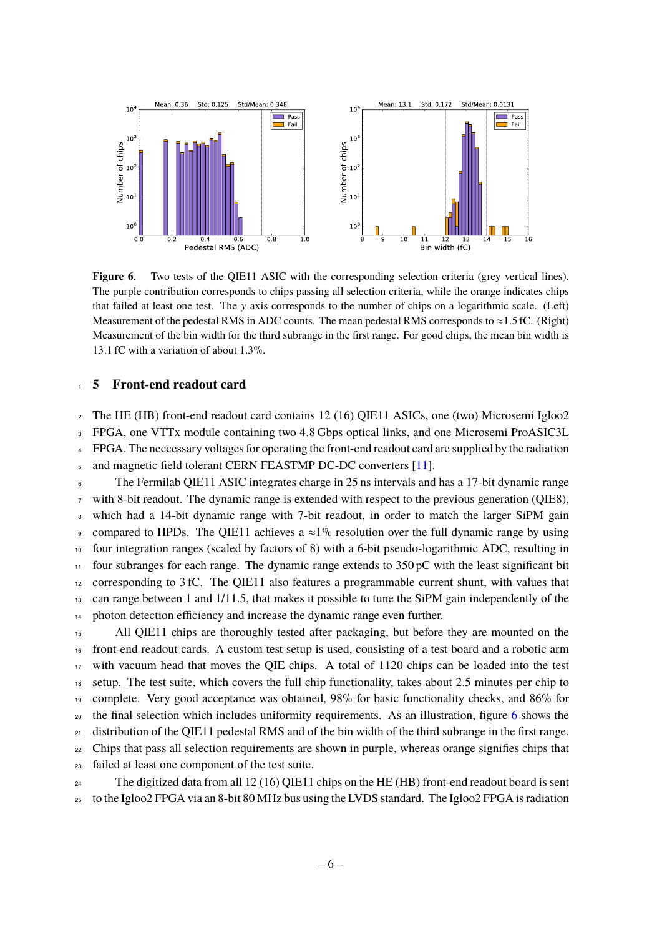

<span id="page-6-1"></span>**Figure 6.** Two tests of the QIE11 ASIC with the corresponding selection criteria (grey vertical lines). The purple contribution corresponds to chips passing all selection criteria, while the orange indicates chips that failed at least one test. The y axis corresponds to the number of chips on a logarithmic scale. (Left) Measurement of the pedestal RMS in ADC counts. The mean pedestal RMS corresponds to  $\approx$  1.5 fC. (Right) Measurement of the bin width for the third subrange in the first range. For good chips, the mean bin width is 13.1 fC with a variation of about 1.3%.

## <span id="page-6-0"></span><sup>1</sup> **5 Front-end readout card**

<sup>2</sup> The HE (HB) front-end readout card contains 12 (16) QIE11 ASICs, one (two) Microsemi Igloo2 <sup>3</sup> FPGA, one VTTx module containing two 4.8 Gbps optical links, and one Microsemi ProASIC3L <sup>4</sup> FPGA. The neccessary voltages for operating the front-end readout card are supplied by the radiation

<sup>5</sup> and magnetic field tolerant CERN FEASTMP DC-DC converters [\[11\]](#page-8-10).

 The Fermilab QIE11 ASIC integrates charge in 25 ns intervals and has a 17-bit dynamic range with 8-bit readout. The dynamic range is extended with respect to the previous generation (OIE8), which had a 14-bit dynamic range with 7-bit readout, in order to match the larger SiPM gain compared to HPDs. The QIE11 achieves a  $\approx$ 1% resolution over the full dynamic range by using four integration ranges (scaled by factors of 8) with a 6-bit pseudo-logarithmic ADC, resulting in four subranges for each range. The dynamic range extends to 350 pC with the least significant bit corresponding to 3 fC. The QIE11 also features a programmable current shunt, with values that can range between 1 and 1/11.5, that makes it possible to tune the SiPM gain independently of the <sup>14</sup> photon detection efficiency and increase the dynamic range even further.

<sup>15</sup> All QIE11 chips are thoroughly tested after packaging, but before they are mounted on the front-end readout cards. A custom test setup is used, consisting of a test board and a robotic arm with vacuum head that moves the QIE chips. A total of 1120 chips can be loaded into the test setup. The test suite, which covers the full chip functionality, takes about 2.5 minutes per chip to complete. Very good acceptance was obtained, 98% for basic functionality checks, and 86% for the final selection which includes uniformity requirements. As an illustration, figure [6](#page-6-1) shows the  $_{21}$  distribution of the QIE11 pedestal RMS and of the bin width of the third subrange in the first range. Chips that pass all selection requirements are shown in purple, whereas orange signifies chips that failed at least one component of the test suite.

<sup>24</sup> The digitized data from all 12 (16) QIE11 chips on the HE (HB) front-end readout board is sent <sup>25</sup> to the Igloo2 FPGA via an 8-bit 80 MHz bus using the LVDS standard. The Igloo2 FPGA is radiation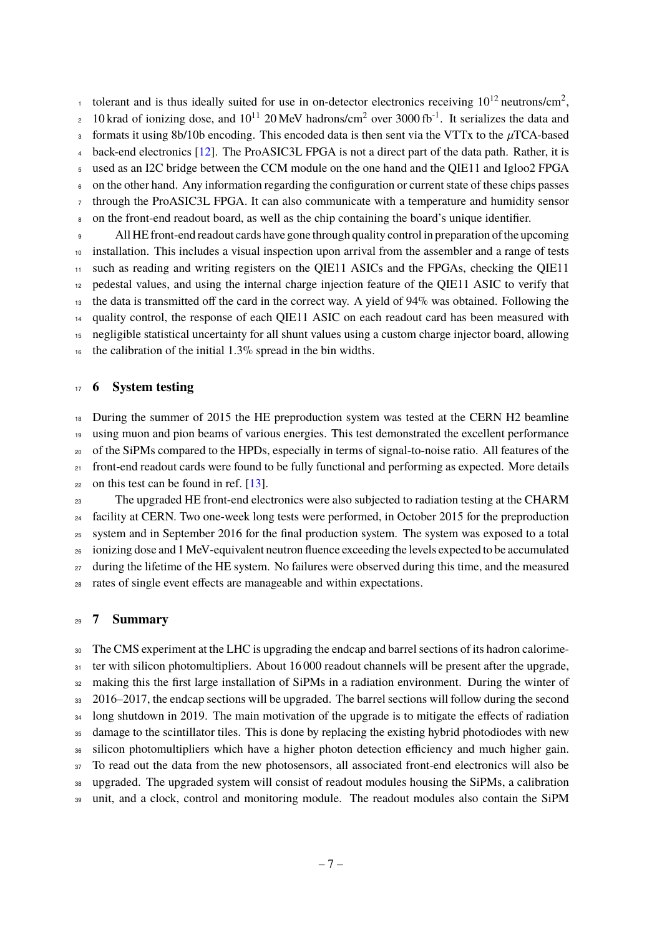tolerant and is thus ideally suited for use in on-detector electronics receiving  $10^{12}$  neutrons/cm<sup>2</sup>. <sup>2</sup> 10 krad of ionizing dose, and  $10^{11}$  20 MeV hadrons/cm<sup>2</sup> over 3000 fb<sup>-1</sup>. It serializes the data and formats it using 8b/10b encoding. This encoded data is then sent via the VTTx to the  $\mu$ TCA-based back-end electronics [\[12\]](#page-8-11). The ProASIC3L FPGA is not a direct part of the data path. Rather, it is <sup>5</sup> used as an I2C bridge between the CCM module on the one hand and the QIE11 and Igloo2 FPGA <sup>6</sup> on the other hand. Any information regarding the configuration or current state of these chips passes through the ProASIC3L FPGA. It can also communicate with a temperature and humidity sensor <sup>8</sup> on the front-end readout board, as well as the chip containing the board's unique identifier. <sup>9</sup> All HE front-end readout cards have gone through quality control in preparation of the upcoming

 installation. This includes a visual inspection upon arrival from the assembler and a range of tests such as reading and writing registers on the QIE11 ASICs and the FPGAs, checking the QIE11 12 pedestal values, and using the internal charge injection feature of the QIE11 ASIC to verify that <sup>13</sup> the data is transmitted off the card in the correct way. A yield of 94% was obtained. Following the quality control, the response of each QIE11 ASIC on each readout card has been measured with negligible statistical uncertainty for all shunt values using a custom charge injector board, allowing the calibration of the initial 1.3% spread in the bin widths.

## <span id="page-7-0"></span><sup>17</sup> **6 System testing**

<sup>18</sup> During the summer of 2015 the HE preproduction system was tested at the CERN H2 beamline using muon and pion beams of various energies. This test demonstrated the excellent performance of the SiPMs compared to the HPDs, especially in terms of signal-to-noise ratio. All features of the front-end readout cards were found to be fully functional and performing as expected. More details on this test can be found in ref.  $[13]$ . The upgraded HE front-end electronics were also subjected to radiation testing at the CHARM

<sup>24</sup> facility at CERN. Two one-week long tests were performed, in October 2015 for the preproduction <sup>25</sup> system and in September 2016 for the final production system. The system was exposed to a total <sup>26</sup> ionizing dose and 1 MeV-equivalent neutron fluence exceeding the levels expected to be accumulated <sup>27</sup> during the lifetime of the HE system. No failures were observed during this time, and the measured <sup>28</sup> rates of single event effects are manageable and within expectations.

## <span id="page-7-1"></span><sup>29</sup> **7 Summary**

<sup>30</sup> The CMS experiment at the LHC is upgrading the endcap and barrel sections of its hadron calorime-31 ter with silicon photomultipliers. About 16 000 readout channels will be present after the upgrade, <sup>32</sup> making this the first large installation of SiPMs in a radiation environment. During the winter of 33 2016–2017, the endcap sections will be upgraded. The barrel sections will follow during the second <sup>34</sup> long shutdown in 2019. The main motivation of the upgrade is to mitigate the effects of radiation <sup>35</sup> damage to the scintillator tiles. This is done by replacing the existing hybrid photodiodes with new 36 silicon photomultipliers which have a higher photon detection efficiency and much higher gain. <sup>37</sup> To read out the data from the new photosensors, all associated front-end electronics will also be <sup>38</sup> upgraded. The upgraded system will consist of readout modules housing the SiPMs, a calibration <sup>39</sup> unit, and a clock, control and monitoring module. The readout modules also contain the SiPM